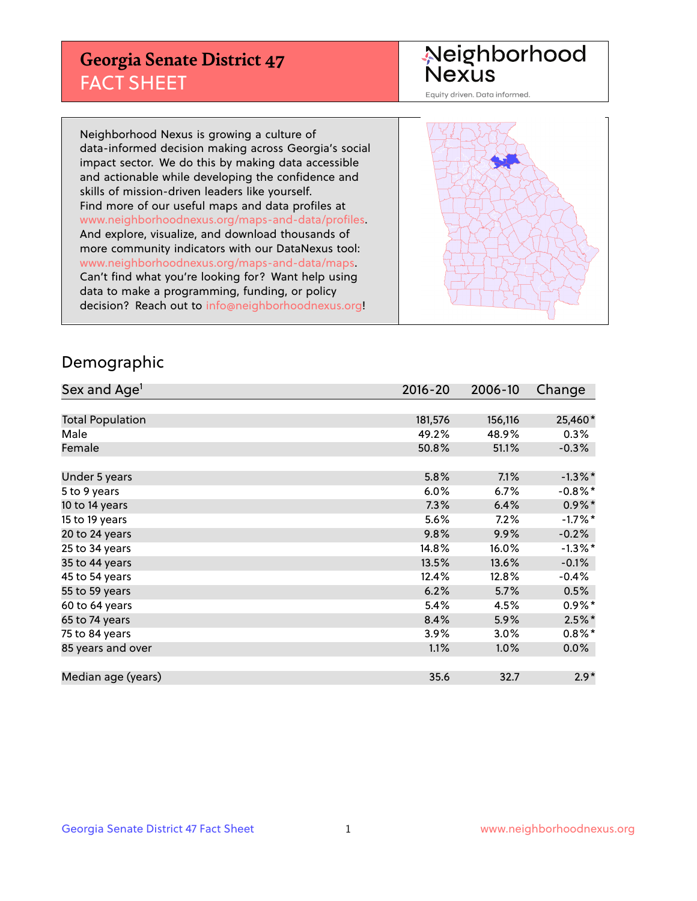## **Georgia Senate District 47** FACT SHEET

# Neighborhood<br>Nexus

Equity driven. Data informed.

Neighborhood Nexus is growing a culture of data-informed decision making across Georgia's social impact sector. We do this by making data accessible and actionable while developing the confidence and skills of mission-driven leaders like yourself. Find more of our useful maps and data profiles at www.neighborhoodnexus.org/maps-and-data/profiles. And explore, visualize, and download thousands of more community indicators with our DataNexus tool: www.neighborhoodnexus.org/maps-and-data/maps. Can't find what you're looking for? Want help using data to make a programming, funding, or policy decision? Reach out to [info@neighborhoodnexus.org!](mailto:info@neighborhoodnexus.org)



### Demographic

| Sex and Age <sup>1</sup> | $2016 - 20$ | 2006-10 | Change               |
|--------------------------|-------------|---------|----------------------|
|                          |             |         |                      |
| <b>Total Population</b>  | 181,576     | 156,116 | 25,460*              |
| Male                     | 49.2%       | 48.9%   | $0.3\%$              |
| Female                   | 50.8%       | 51.1%   | $-0.3%$              |
|                          |             |         |                      |
| Under 5 years            | 5.8%        | 7.1%    | $-1.3\%$ *           |
| 5 to 9 years             | $6.0\%$     | 6.7%    | $-0.8\%$ *           |
| 10 to 14 years           | 7.3%        | 6.4%    | $0.9\%$ *            |
| 15 to 19 years           | 5.6%        | 7.2%    | $-1.7%$ *            |
| 20 to 24 years           | 9.8%        | 9.9%    | $-0.2%$              |
| 25 to 34 years           | 14.8%       | 16.0%   | $-1.3\%$ *           |
| 35 to 44 years           | 13.5%       | 13.6%   | $-0.1%$              |
| 45 to 54 years           | 12.4%       | 12.8%   | $-0.4%$              |
| 55 to 59 years           | 6.2%        | 5.7%    | 0.5%                 |
| 60 to 64 years           | 5.4%        | 4.5%    | $0.9\%$ <sup>*</sup> |
| 65 to 74 years           | 8.4%        | 5.9%    | $2.5%$ *             |
| 75 to 84 years           | 3.9%        | 3.0%    | $0.8\%$ *            |
| 85 years and over        | 1.1%        | 1.0%    | 0.0%                 |
|                          |             |         |                      |
| Median age (years)       | 35.6        | 32.7    | $2.9*$               |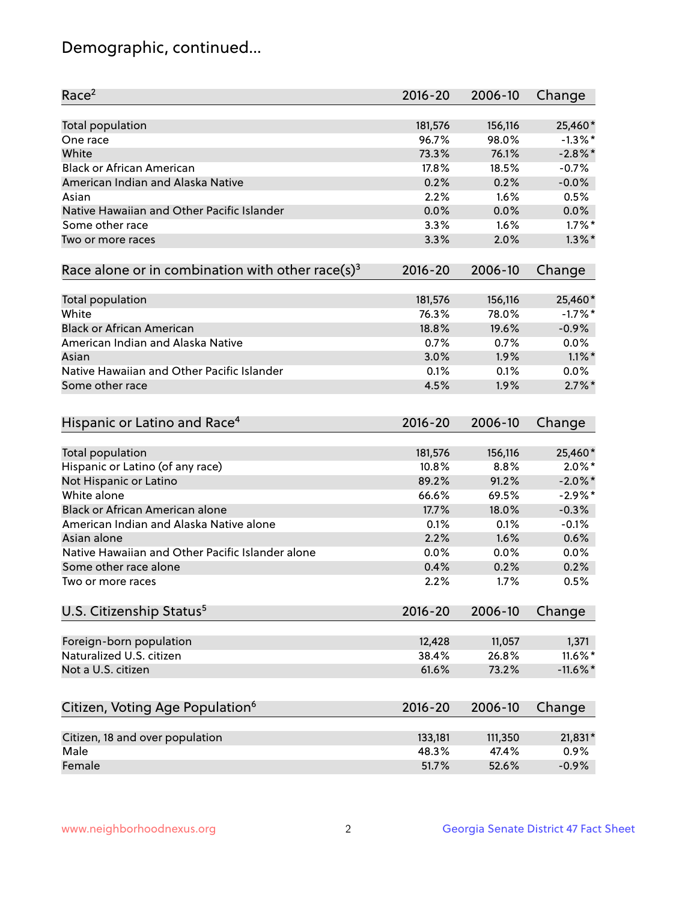## Demographic, continued...

| Race <sup>2</sup>                                            | $2016 - 20$ | 2006-10 | Change      |
|--------------------------------------------------------------|-------------|---------|-------------|
| <b>Total population</b>                                      | 181,576     | 156,116 | 25,460*     |
| One race                                                     | 96.7%       | 98.0%   | $-1.3\%$ *  |
| White                                                        | 73.3%       | 76.1%   | $-2.8\%$ *  |
| <b>Black or African American</b>                             | 17.8%       | 18.5%   | $-0.7%$     |
| American Indian and Alaska Native                            | 0.2%        | 0.2%    | $-0.0%$     |
| Asian                                                        | 2.2%        | 1.6%    | 0.5%        |
| Native Hawaiian and Other Pacific Islander                   | 0.0%        | 0.0%    | 0.0%        |
| Some other race                                              | 3.3%        | 1.6%    | $1.7\%$ *   |
| Two or more races                                            | 3.3%        | 2.0%    | $1.3\%$ *   |
|                                                              |             |         |             |
| Race alone or in combination with other race(s) <sup>3</sup> | $2016 - 20$ | 2006-10 | Change      |
| <b>Total population</b>                                      | 181,576     | 156,116 | 25,460*     |
| White                                                        | 76.3%       | 78.0%   | $-1.7%$ *   |
| <b>Black or African American</b>                             | 18.8%       | 19.6%   | $-0.9%$     |
| American Indian and Alaska Native                            | 0.7%        | 0.7%    | 0.0%        |
| Asian                                                        | 3.0%        | 1.9%    | $1.1\%$ *   |
| Native Hawaiian and Other Pacific Islander                   | 0.1%        | 0.1%    | $0.0\%$     |
|                                                              | 4.5%        | 1.9%    | $2.7\%$ *   |
| Some other race                                              |             |         |             |
| Hispanic or Latino and Race <sup>4</sup>                     | $2016 - 20$ | 2006-10 | Change      |
| <b>Total population</b>                                      | 181,576     | 156,116 | 25,460*     |
| Hispanic or Latino (of any race)                             | 10.8%       | 8.8%    | $2.0\%$ *   |
| Not Hispanic or Latino                                       | 89.2%       | 91.2%   | $-2.0\%$ *  |
| White alone                                                  | 66.6%       | 69.5%   | $-2.9%$ *   |
| Black or African American alone                              | 17.7%       | 18.0%   | $-0.3%$     |
|                                                              |             |         |             |
| American Indian and Alaska Native alone                      | 0.1%        | 0.1%    | $-0.1%$     |
| Asian alone                                                  | 2.2%        | 1.6%    | 0.6%        |
| Native Hawaiian and Other Pacific Islander alone             | 0.0%        | 0.0%    | 0.0%        |
| Some other race alone                                        | 0.4%        | 0.2%    | 0.2%        |
| Two or more races                                            | 2.2%        | 1.7%    | 0.5%        |
| U.S. Citizenship Status <sup>5</sup>                         | $2016 - 20$ | 2006-10 | Change      |
| Foreign-born population                                      | 12,428      | 11,057  | 1,371       |
| Naturalized U.S. citizen                                     | 38.4%       | 26.8%   | $11.6\%$ *  |
| Not a U.S. citizen                                           | 61.6%       | 73.2%   | $-11.6\%$ * |
|                                                              |             |         |             |
| Citizen, Voting Age Population <sup>6</sup>                  | $2016 - 20$ | 2006-10 | Change      |
| Citizen, 18 and over population                              | 133,181     | 111,350 | 21,831*     |
| Male                                                         | 48.3%       | 47.4%   | 0.9%        |
| Female                                                       | 51.7%       | 52.6%   | $-0.9%$     |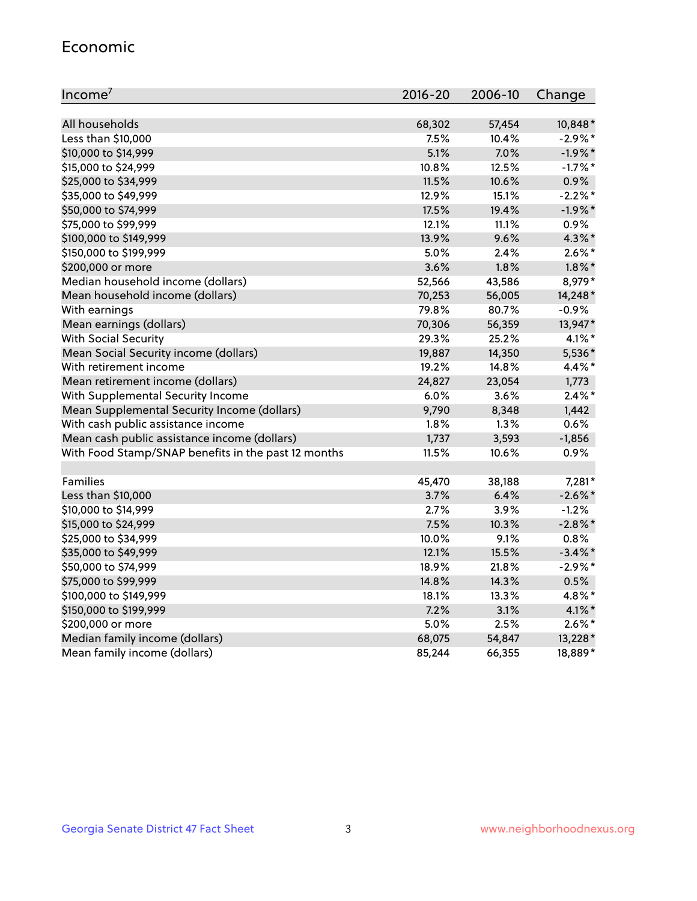#### Economic

| Income <sup>7</sup>                                 | $2016 - 20$ | 2006-10 | Change     |
|-----------------------------------------------------|-------------|---------|------------|
|                                                     |             |         |            |
| All households                                      | 68,302      | 57,454  | 10,848*    |
| Less than \$10,000                                  | 7.5%        | 10.4%   | $-2.9\%$ * |
| \$10,000 to \$14,999                                | 5.1%        | 7.0%    | $-1.9%$ *  |
| \$15,000 to \$24,999                                | 10.8%       | 12.5%   | $-1.7%$ *  |
| \$25,000 to \$34,999                                | 11.5%       | 10.6%   | 0.9%       |
| \$35,000 to \$49,999                                | 12.9%       | 15.1%   | $-2.2%$ *  |
| \$50,000 to \$74,999                                | 17.5%       | 19.4%   | $-1.9%$ *  |
| \$75,000 to \$99,999                                | 12.1%       | 11.1%   | 0.9%       |
| \$100,000 to \$149,999                              | 13.9%       | 9.6%    | 4.3%*      |
| \$150,000 to \$199,999                              | 5.0%        | 2.4%    | $2.6\%$ *  |
| \$200,000 or more                                   | 3.6%        | 1.8%    | $1.8\%$ *  |
| Median household income (dollars)                   | 52,566      | 43,586  | 8,979*     |
| Mean household income (dollars)                     | 70,253      | 56,005  | 14,248*    |
| With earnings                                       | 79.8%       | 80.7%   | $-0.9%$    |
| Mean earnings (dollars)                             | 70,306      | 56,359  | 13,947*    |
| <b>With Social Security</b>                         | 29.3%       | 25.2%   | $4.1\%$ *  |
| Mean Social Security income (dollars)               | 19,887      | 14,350  | 5,536*     |
| With retirement income                              | 19.2%       | 14.8%   | $4.4\%$ *  |
| Mean retirement income (dollars)                    | 24,827      | 23,054  | 1,773      |
| With Supplemental Security Income                   | 6.0%        | 3.6%    | $2.4\%$ *  |
| Mean Supplemental Security Income (dollars)         | 9,790       | 8,348   | 1,442      |
| With cash public assistance income                  | 1.8%        | 1.3%    | 0.6%       |
| Mean cash public assistance income (dollars)        | 1,737       | 3,593   | $-1,856$   |
| With Food Stamp/SNAP benefits in the past 12 months | 11.5%       | 10.6%   | 0.9%       |
|                                                     |             |         |            |
| Families                                            | 45,470      | 38,188  | 7,281*     |
| Less than \$10,000                                  | 3.7%        | 6.4%    | $-2.6\%$ * |
| \$10,000 to \$14,999                                | 2.7%        | 3.9%    | $-1.2%$    |
| \$15,000 to \$24,999                                | 7.5%        | 10.3%   | $-2.8\%$ * |
| \$25,000 to \$34,999                                | 10.0%       | 9.1%    | 0.8%       |
| \$35,000 to \$49,999                                | 12.1%       | 15.5%   | $-3.4\%$ * |
| \$50,000 to \$74,999                                | 18.9%       | 21.8%   | $-2.9\%$ * |
| \$75,000 to \$99,999                                | 14.8%       | 14.3%   | 0.5%       |
| \$100,000 to \$149,999                              | 18.1%       | 13.3%   | 4.8%*      |
| \$150,000 to \$199,999                              | 7.2%        | 3.1%    | $4.1\%$ *  |
| \$200,000 or more                                   | 5.0%        | 2.5%    | $2.6\%$ *  |
| Median family income (dollars)                      | 68,075      | 54,847  | 13,228 *   |
| Mean family income (dollars)                        | 85,244      | 66,355  | 18,889*    |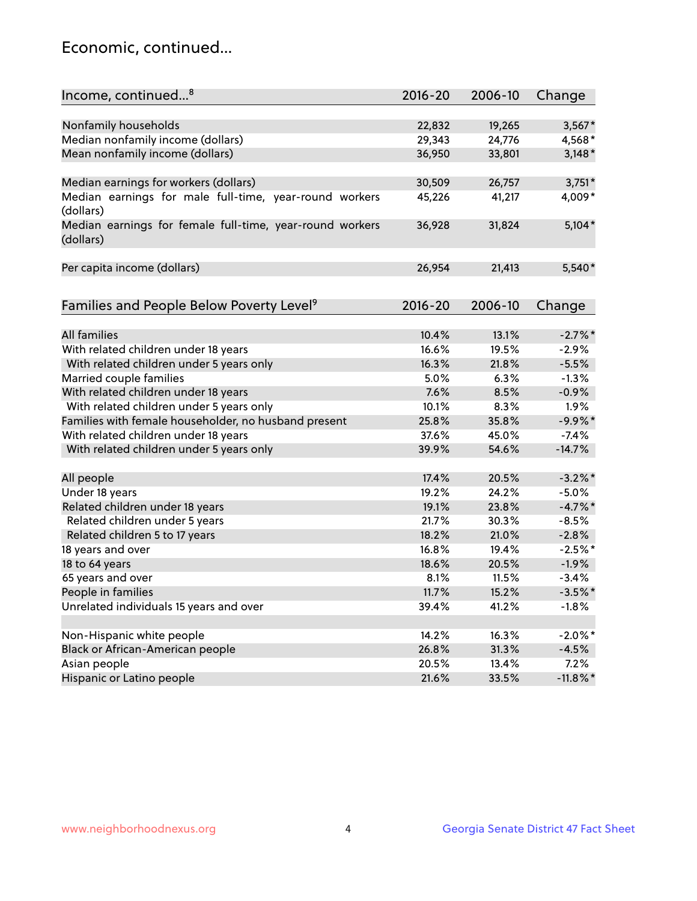## Economic, continued...

| Income, continued <sup>8</sup>                           | $2016 - 20$ | 2006-10 | Change      |
|----------------------------------------------------------|-------------|---------|-------------|
|                                                          |             |         |             |
| Nonfamily households                                     | 22,832      | 19,265  | $3,567*$    |
| Median nonfamily income (dollars)                        | 29,343      | 24,776  | 4,568*      |
| Mean nonfamily income (dollars)                          | 36,950      | 33,801  | $3,148*$    |
|                                                          |             |         |             |
| Median earnings for workers (dollars)                    | 30,509      | 26,757  | $3,751*$    |
| Median earnings for male full-time, year-round workers   | 45,226      | 41,217  | 4,009*      |
| (dollars)                                                |             |         |             |
| Median earnings for female full-time, year-round workers | 36,928      | 31,824  | $5,104*$    |
| (dollars)                                                |             |         |             |
|                                                          |             |         |             |
| Per capita income (dollars)                              | 26,954      | 21,413  | 5,540*      |
|                                                          |             |         |             |
|                                                          |             |         |             |
| Families and People Below Poverty Level <sup>9</sup>     | $2016 - 20$ | 2006-10 | Change      |
|                                                          |             |         |             |
| <b>All families</b>                                      | 10.4%       | 13.1%   | $-2.7\%$ *  |
| With related children under 18 years                     | 16.6%       | 19.5%   | $-2.9%$     |
| With related children under 5 years only                 | 16.3%       | 21.8%   | $-5.5%$     |
| Married couple families                                  | 5.0%        | 6.3%    | $-1.3%$     |
| With related children under 18 years                     | 7.6%        | 8.5%    | $-0.9%$     |
| With related children under 5 years only                 | 10.1%       | 8.3%    | 1.9%        |
| Families with female householder, no husband present     | 25.8%       | 35.8%   | $-9.9%$ *   |
| With related children under 18 years                     | 37.6%       | 45.0%   | $-7.4%$     |
| With related children under 5 years only                 | 39.9%       | 54.6%   | $-14.7%$    |
|                                                          |             |         |             |
| All people                                               | 17.4%       | 20.5%   | $-3.2\%$ *  |
| Under 18 years                                           | 19.2%       | 24.2%   | $-5.0%$     |
| Related children under 18 years                          | 19.1%       | 23.8%   | $-4.7%$ *   |
| Related children under 5 years                           | 21.7%       | 30.3%   | $-8.5%$     |
| Related children 5 to 17 years                           | 18.2%       | 21.0%   | $-2.8%$     |
| 18 years and over                                        | 16.8%       | 19.4%   | $-2.5%$ *   |
| 18 to 64 years                                           | 18.6%       | 20.5%   | $-1.9%$     |
| 65 years and over                                        | 8.1%        | 11.5%   | $-3.4%$     |
| People in families                                       | 11.7%       | 15.2%   | $-3.5%$ *   |
| Unrelated individuals 15 years and over                  | 39.4%       | 41.2%   | $-1.8%$     |
|                                                          |             |         |             |
| Non-Hispanic white people                                | 14.2%       | 16.3%   | $-2.0\%$ *  |
| Black or African-American people                         | 26.8%       | 31.3%   | $-4.5%$     |
| Asian people                                             | 20.5%       | 13.4%   | 7.2%        |
| Hispanic or Latino people                                | 21.6%       | 33.5%   | $-11.8\%$ * |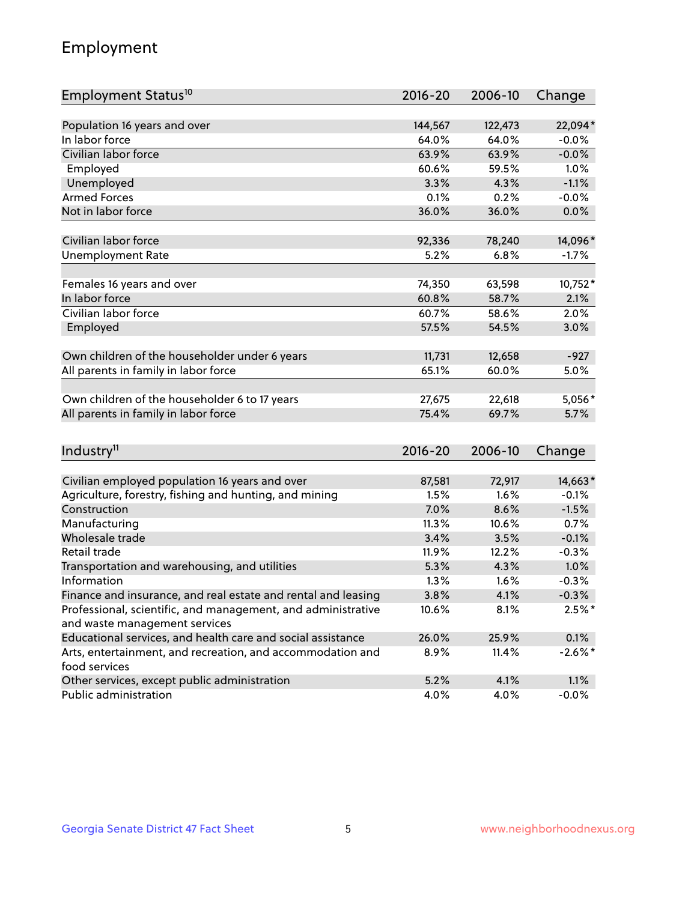## Employment

| Employment Status <sup>10</sup>                                             | $2016 - 20$     | 2006-10         | Change     |
|-----------------------------------------------------------------------------|-----------------|-----------------|------------|
|                                                                             |                 |                 |            |
| Population 16 years and over                                                | 144,567         | 122,473         | 22,094*    |
| In labor force                                                              | 64.0%           | 64.0%           | $-0.0%$    |
| Civilian labor force                                                        | 63.9%           | 63.9%           | $-0.0%$    |
| Employed                                                                    | 60.6%           | 59.5%           | 1.0%       |
| Unemployed                                                                  | 3.3%            | 4.3%            | $-1.1%$    |
| <b>Armed Forces</b>                                                         | 0.1%            | 0.2%            | $-0.0%$    |
| Not in labor force                                                          | 36.0%           | 36.0%           | 0.0%       |
| Civilian labor force                                                        | 92,336          | 78,240          | 14,096*    |
|                                                                             |                 |                 |            |
| <b>Unemployment Rate</b>                                                    | 5.2%            | 6.8%            | $-1.7%$    |
| Females 16 years and over                                                   | 74,350          | 63,598          | 10,752*    |
| In labor force                                                              | 60.8%           | 58.7%           | 2.1%       |
| Civilian labor force                                                        | 60.7%           | 58.6%           | 2.0%       |
| Employed                                                                    | 57.5%           | 54.5%           | 3.0%       |
|                                                                             |                 |                 |            |
| Own children of the householder under 6 years                               | 11,731<br>65.1% | 12,658<br>60.0% | $-927$     |
| All parents in family in labor force                                        |                 |                 | 5.0%       |
| Own children of the householder 6 to 17 years                               | 27,675          | 22,618          | 5,056*     |
| All parents in family in labor force                                        | 75.4%           | 69.7%           | 5.7%       |
|                                                                             |                 |                 |            |
| Industry <sup>11</sup>                                                      | $2016 - 20$     | 2006-10         | Change     |
|                                                                             |                 |                 |            |
| Civilian employed population 16 years and over                              | 87,581          | 72,917          | 14,663*    |
| Agriculture, forestry, fishing and hunting, and mining                      | 1.5%            | 1.6%            | $-0.1%$    |
| Construction                                                                | 7.0%            | 8.6%            | $-1.5%$    |
| Manufacturing                                                               | 11.3%           | 10.6%           | 0.7%       |
| Wholesale trade                                                             | 3.4%            | 3.5%            | $-0.1%$    |
| Retail trade                                                                | 11.9%           | 12.2%           | $-0.3%$    |
| Transportation and warehousing, and utilities                               | 5.3%            | 4.3%            | 1.0%       |
| Information                                                                 | 1.3%            | 1.6%            | $-0.3%$    |
| Finance and insurance, and real estate and rental and leasing               | 3.8%            | 4.1%            | $-0.3%$    |
| Professional, scientific, and management, and administrative                | 10.6%           | 8.1%            | $2.5%$ *   |
| and waste management services                                               |                 |                 |            |
| Educational services, and health care and social assistance                 | 26.0%           | 25.9%           | 0.1%       |
| Arts, entertainment, and recreation, and accommodation and<br>food services | 8.9%            | 11.4%           | $-2.6\%$ * |
| Other services, except public administration                                | 5.2%            | 4.1%            | 1.1%       |
| Public administration                                                       | 4.0%            | 4.0%            | $-0.0%$    |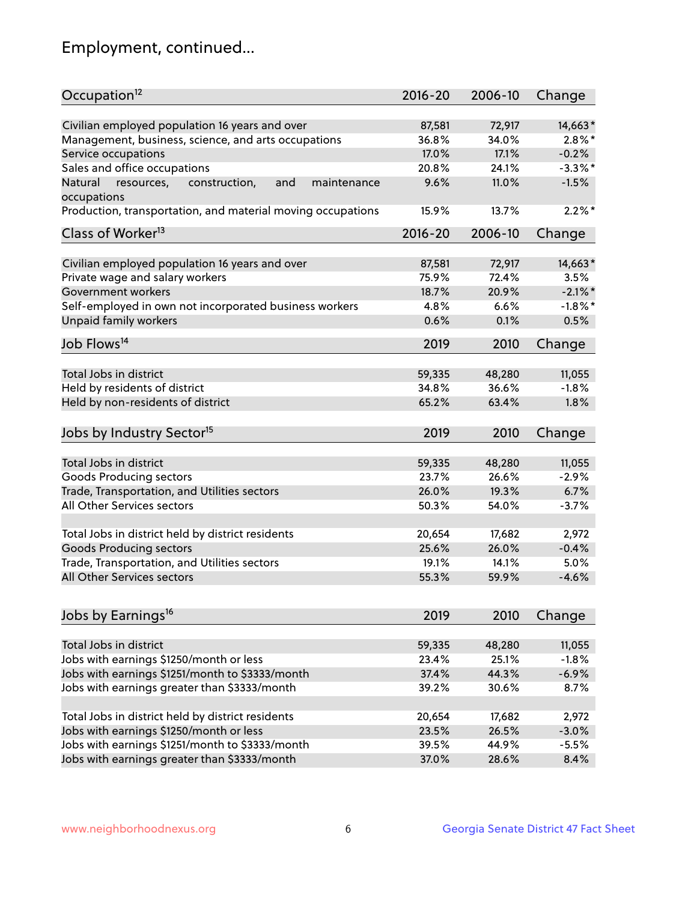## Employment, continued...

| Occupation <sup>12</sup>                                                    | $2016 - 20$ | 2006-10 | Change     |
|-----------------------------------------------------------------------------|-------------|---------|------------|
| Civilian employed population 16 years and over                              | 87,581      | 72,917  | 14,663*    |
| Management, business, science, and arts occupations                         | 36.8%       | 34.0%   | $2.8\%$ *  |
| Service occupations                                                         | 17.0%       | 17.1%   | $-0.2%$    |
| Sales and office occupations                                                | 20.8%       | 24.1%   | $-3.3\%$ * |
|                                                                             |             |         |            |
| Natural<br>and<br>resources,<br>construction,<br>maintenance<br>occupations | 9.6%        | 11.0%   | $-1.5%$    |
| Production, transportation, and material moving occupations                 | 15.9%       | 13.7%   | $2.2\%$ *  |
| Class of Worker <sup>13</sup>                                               | $2016 - 20$ | 2006-10 | Change     |
|                                                                             |             |         |            |
| Civilian employed population 16 years and over                              | 87,581      | 72,917  | 14,663*    |
| Private wage and salary workers                                             | 75.9%       | 72.4%   | 3.5%       |
| Government workers                                                          | 18.7%       | 20.9%   | $-2.1\%$ * |
| Self-employed in own not incorporated business workers                      | 4.8%        | 6.6%    | $-1.8\%$ * |
| Unpaid family workers                                                       | 0.6%        | 0.1%    | 0.5%       |
| Job Flows <sup>14</sup>                                                     | 2019        | 2010    | Change     |
|                                                                             |             |         |            |
| Total Jobs in district                                                      | 59,335      | 48,280  | 11,055     |
| Held by residents of district                                               | 34.8%       | 36.6%   | $-1.8%$    |
| Held by non-residents of district                                           | 65.2%       | 63.4%   | 1.8%       |
| Jobs by Industry Sector <sup>15</sup>                                       | 2019        | 2010    | Change     |
|                                                                             |             |         |            |
| Total Jobs in district                                                      | 59,335      | 48,280  | 11,055     |
| Goods Producing sectors                                                     | 23.7%       | 26.6%   | $-2.9%$    |
| Trade, Transportation, and Utilities sectors                                | 26.0%       | 19.3%   | 6.7%       |
| All Other Services sectors                                                  | 50.3%       | 54.0%   | $-3.7%$    |
|                                                                             |             |         |            |
| Total Jobs in district held by district residents                           | 20,654      | 17,682  | 2,972      |
| <b>Goods Producing sectors</b>                                              | 25.6%       | 26.0%   | $-0.4%$    |
| Trade, Transportation, and Utilities sectors                                | 19.1%       | 14.1%   | 5.0%       |
| All Other Services sectors                                                  | 55.3%       | 59.9%   | $-4.6%$    |
|                                                                             |             |         |            |
| Jobs by Earnings <sup>16</sup>                                              | 2019        | 2010    | Change     |
| Total Jobs in district                                                      | 59,335      | 48,280  | 11,055     |
| Jobs with earnings \$1250/month or less                                     | 23.4%       | 25.1%   | $-1.8%$    |
| Jobs with earnings \$1251/month to \$3333/month                             | 37.4%       | 44.3%   | $-6.9%$    |
| Jobs with earnings greater than \$3333/month                                | 39.2%       | 30.6%   | 8.7%       |
|                                                                             |             |         |            |
| Total Jobs in district held by district residents                           | 20,654      | 17,682  | 2,972      |
| Jobs with earnings \$1250/month or less                                     | 23.5%       | 26.5%   | $-3.0%$    |
| Jobs with earnings \$1251/month to \$3333/month                             | 39.5%       | 44.9%   | $-5.5%$    |
| Jobs with earnings greater than \$3333/month                                | 37.0%       | 28.6%   | 8.4%       |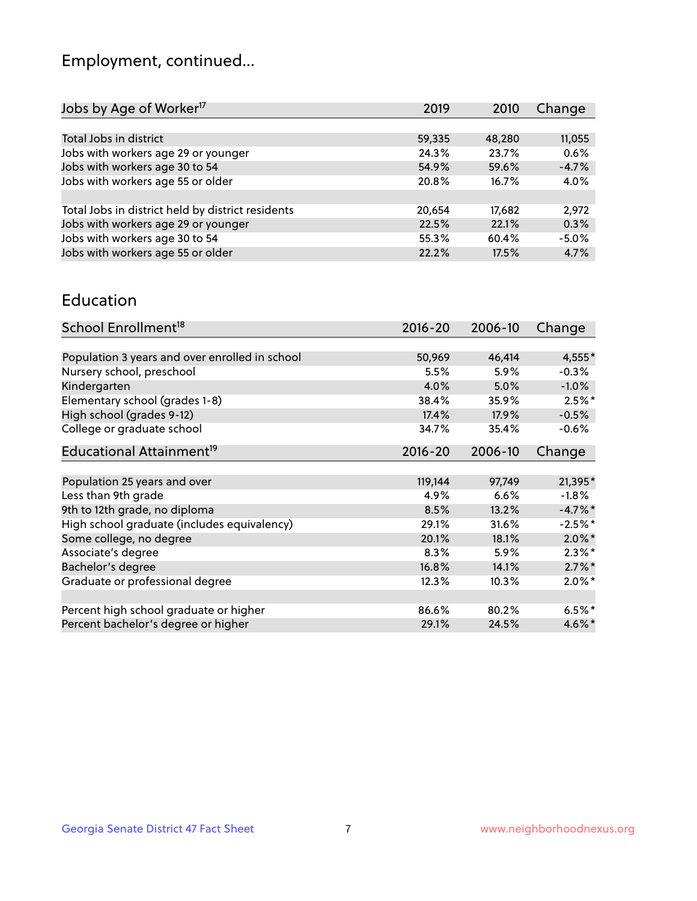## Employment, continued...

| 2019   | 2010   | Change  |
|--------|--------|---------|
|        |        |         |
| 59,335 | 48,280 | 11,055  |
| 24.3%  | 23.7%  | 0.6%    |
| 54.9%  | 59.6%  | $-4.7%$ |
| 20.8%  | 16.7%  | 4.0%    |
|        |        |         |
| 20,654 | 17,682 | 2,972   |
| 22.5%  | 22.1%  | 0.3%    |
| 55.3%  | 60.4%  | $-5.0%$ |
| 22.2%  | 17.5%  | 4.7%    |
|        |        |         |

#### Education

| School Enrollment <sup>18</sup>                | $2016 - 20$ | 2006-10  | Change    |
|------------------------------------------------|-------------|----------|-----------|
|                                                |             |          |           |
| Population 3 years and over enrolled in school | 50,969      | 46,414   | 4,555*    |
| Nursery school, preschool                      | 5.5%        | 5.9%     | $-0.3%$   |
| Kindergarten                                   | 4.0%        | 5.0%     | $-1.0%$   |
| Elementary school (grades 1-8)                 | 38.4%       | 35.9%    | $2.5%$ *  |
| High school (grades 9-12)                      | 17.4%       | 17.9%    | $-0.5%$   |
| College or graduate school                     | 34.7%       | 35.4%    | $-0.6%$   |
| Educational Attainment <sup>19</sup>           | $2016 - 20$ | 2006-10  | Change    |
|                                                |             |          |           |
| Population 25 years and over                   | 119,144     | 97,749   | 21,395*   |
| Less than 9th grade                            | 4.9%        | 6.6%     | $-1.8%$   |
| 9th to 12th grade, no diploma                  | 8.5%        | 13.2%    | $-4.7%$ * |
| High school graduate (includes equivalency)    | 29.1%       | 31.6%    | $-2.5%$ * |
| Some college, no degree                        | 20.1%       | 18.1%    | $2.0\%$ * |
| Associate's degree                             | 8.3%        | 5.9%     | $2.3\%$ * |
| Bachelor's degree                              | 16.8%       | 14.1%    | $2.7\%$ * |
| Graduate or professional degree                | 12.3%       | $10.3\%$ | $2.0\%$ * |
|                                                |             |          |           |
| Percent high school graduate or higher         | 86.6%       | 80.2%    | $6.5%$ *  |
| Percent bachelor's degree or higher            | 29.1%       | 24.5%    | $4.6\%$ * |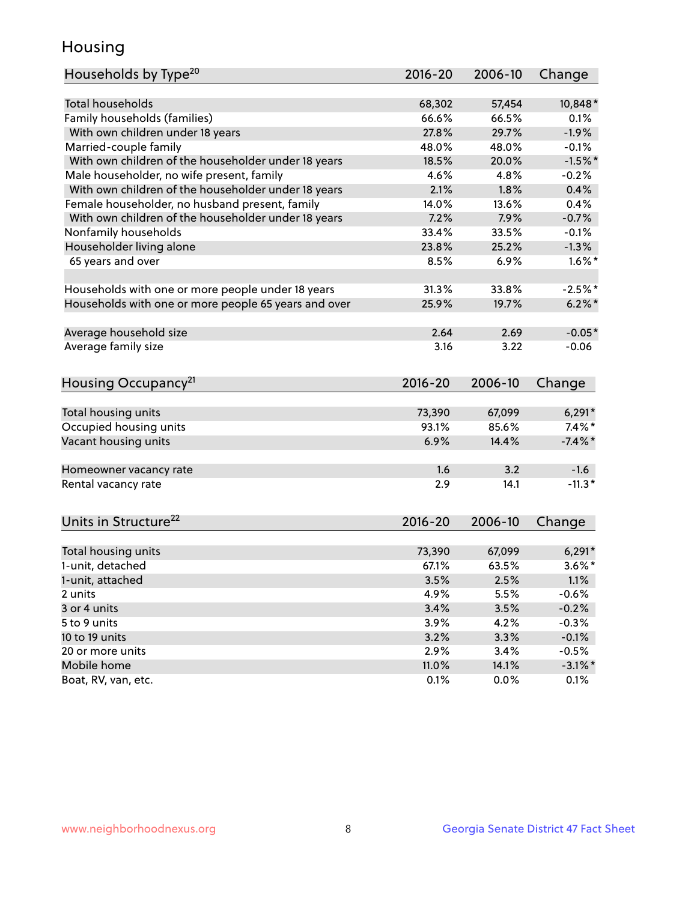## Housing

| Households by Type <sup>20</sup>                     | 2016-20     | 2006-10 | Change     |
|------------------------------------------------------|-------------|---------|------------|
|                                                      |             |         |            |
| <b>Total households</b>                              | 68,302      | 57,454  | 10,848*    |
| Family households (families)                         | 66.6%       | 66.5%   | 0.1%       |
| With own children under 18 years                     | 27.8%       | 29.7%   | $-1.9%$    |
| Married-couple family                                | 48.0%       | 48.0%   | $-0.1%$    |
| With own children of the householder under 18 years  | 18.5%       | 20.0%   | $-1.5%$ *  |
| Male householder, no wife present, family            | 4.6%        | 4.8%    | $-0.2%$    |
| With own children of the householder under 18 years  | 2.1%        | 1.8%    | 0.4%       |
| Female householder, no husband present, family       | 14.0%       | 13.6%   | 0.4%       |
| With own children of the householder under 18 years  | 7.2%        | 7.9%    | $-0.7%$    |
| Nonfamily households                                 | 33.4%       | 33.5%   | $-0.1%$    |
| Householder living alone                             | 23.8%       | 25.2%   | $-1.3%$    |
| 65 years and over                                    | 8.5%        | 6.9%    | $1.6\%$ *  |
|                                                      |             |         |            |
| Households with one or more people under 18 years    | 31.3%       | 33.8%   | $-2.5%$ *  |
| Households with one or more people 65 years and over | 25.9%       | 19.7%   | $6.2\%$ *  |
|                                                      |             |         |            |
| Average household size                               | 2.64        | 2.69    | $-0.05*$   |
| Average family size                                  | 3.16        | 3.22    | $-0.06$    |
|                                                      |             |         |            |
| Housing Occupancy <sup>21</sup>                      | $2016 - 20$ | 2006-10 | Change     |
|                                                      |             |         |            |
| Total housing units                                  | 73,390      | 67,099  | $6,291*$   |
| Occupied housing units                               | 93.1%       | 85.6%   | $7.4\%$ *  |
| Vacant housing units                                 | 6.9%        | 14.4%   | $-7.4\%$ * |
|                                                      |             |         |            |
| Homeowner vacancy rate                               | 1.6         | 3.2     | $-1.6$     |
| Rental vacancy rate                                  | 2.9         | 14.1    | $-11.3*$   |
|                                                      |             |         |            |
| Units in Structure <sup>22</sup>                     | $2016 - 20$ | 2006-10 |            |
|                                                      |             |         | Change     |
| Total housing units                                  | 73,390      | 67,099  | $6,291*$   |
| 1-unit, detached                                     | 67.1%       | 63.5%   | $3.6\%$ *  |
|                                                      |             |         |            |
| 1-unit, attached                                     | 3.5%        | 2.5%    | 1.1%       |
| 2 units                                              | 4.9%        | 5.5%    | $-0.6%$    |
| 3 or 4 units                                         | 3.4%        | 3.5%    | $-0.2%$    |
| 5 to 9 units                                         | 3.9%        | 4.2%    | $-0.3%$    |
| 10 to 19 units                                       | 3.2%        | 3.3%    | $-0.1%$    |
| 20 or more units                                     | 2.9%        | 3.4%    | $-0.5%$    |
| Mobile home                                          | 11.0%       | 14.1%   | $-3.1\%$ * |
| Boat, RV, van, etc.                                  | 0.1%        | 0.0%    | 0.1%       |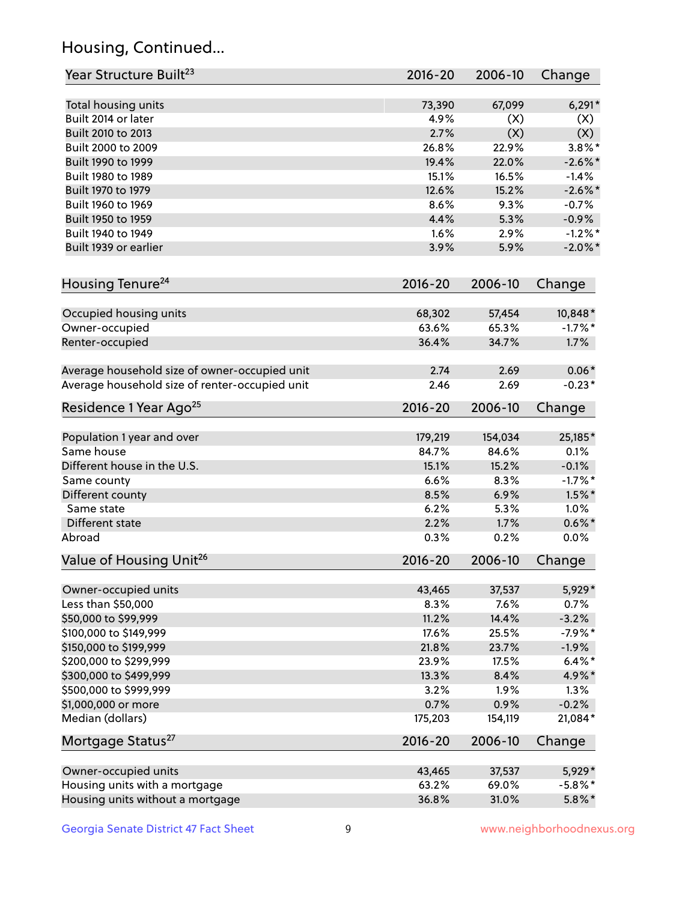## Housing, Continued...

| Year Structure Built <sup>23</sup>             | 2016-20     | 2006-10 | Change     |
|------------------------------------------------|-------------|---------|------------|
| Total housing units                            | 73,390      | 67,099  | $6,291*$   |
| Built 2014 or later                            | 4.9%        | (X)     | (X)        |
| Built 2010 to 2013                             | 2.7%        | (X)     | (X)        |
| Built 2000 to 2009                             | 26.8%       | 22.9%   | $3.8\%$ *  |
| Built 1990 to 1999                             | 19.4%       | 22.0%   | $-2.6\%$ * |
| Built 1980 to 1989                             | 15.1%       | 16.5%   | $-1.4%$    |
| Built 1970 to 1979                             | 12.6%       | 15.2%   | $-2.6\%$ * |
| Built 1960 to 1969                             | 8.6%        | 9.3%    | $-0.7%$    |
| Built 1950 to 1959                             | 4.4%        | 5.3%    | $-0.9%$    |
| Built 1940 to 1949                             | 1.6%        | 2.9%    | $-1.2%$ *  |
| Built 1939 or earlier                          | 3.9%        | 5.9%    | $-2.0\%$ * |
| Housing Tenure <sup>24</sup>                   | $2016 - 20$ | 2006-10 | Change     |
| Occupied housing units                         | 68,302      | 57,454  | 10,848*    |
| Owner-occupied                                 | 63.6%       | 65.3%   | $-1.7%$ *  |
| Renter-occupied                                | 36.4%       | 34.7%   | 1.7%       |
| Average household size of owner-occupied unit  | 2.74        | 2.69    | $0.06*$    |
| Average household size of renter-occupied unit | 2.46        | 2.69    | $-0.23*$   |
| Residence 1 Year Ago <sup>25</sup>             | $2016 - 20$ | 2006-10 | Change     |
| Population 1 year and over                     | 179,219     | 154,034 | 25,185*    |
| Same house                                     | 84.7%       | 84.6%   | 0.1%       |
| Different house in the U.S.                    | 15.1%       | 15.2%   | $-0.1%$    |
| Same county                                    | 6.6%        | 8.3%    | $-1.7%$ *  |
| Different county                               | 8.5%        | 6.9%    | $1.5\%$ *  |
| Same state                                     | 6.2%        | 5.3%    | 1.0%       |
| Different state                                | 2.2%        | 1.7%    | $0.6\% *$  |
| Abroad                                         | 0.3%        | 0.2%    | 0.0%       |
| Value of Housing Unit <sup>26</sup>            | 2016-20     | 2006-10 | Change     |
| Owner-occupied units                           | 43,465      | 37,537  | 5,929*     |
| Less than \$50,000                             | 8.3%        | 7.6%    | 0.7%       |
| \$50,000 to \$99,999                           | 11.2%       | 14.4%   | $-3.2%$    |
| \$100,000 to \$149,999                         | 17.6%       | 25.5%   | $-7.9%$ *  |
| \$150,000 to \$199,999                         | 21.8%       | 23.7%   | $-1.9%$    |
| \$200,000 to \$299,999                         | 23.9%       | 17.5%   | $6.4\%$ *  |
| \$300,000 to \$499,999                         | 13.3%       | 8.4%    | 4.9%*      |
| \$500,000 to \$999,999                         | 3.2%        | 1.9%    | 1.3%       |
| \$1,000,000 or more                            | 0.7%        | 0.9%    | $-0.2%$    |
| Median (dollars)                               | 175,203     | 154,119 | 21,084*    |
| Mortgage Status <sup>27</sup>                  | $2016 - 20$ | 2006-10 | Change     |
| Owner-occupied units                           | 43,465      | 37,537  | 5,929*     |
| Housing units with a mortgage                  | 63.2%       | 69.0%   | $-5.8\%$ * |
| Housing units without a mortgage               | 36.8%       | 31.0%   | $5.8\%$ *  |
|                                                |             |         |            |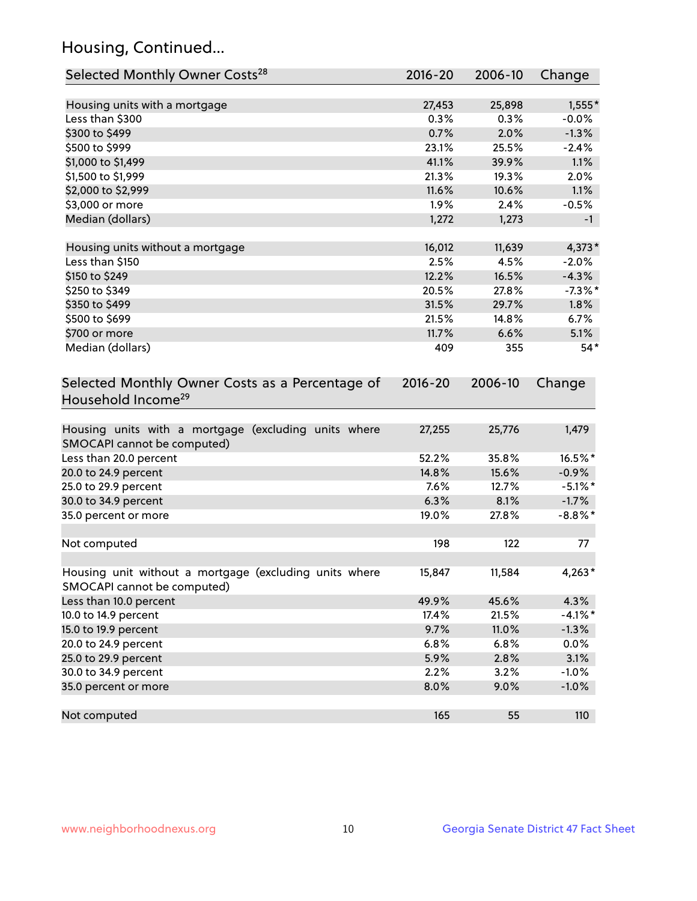## Housing, Continued...

| Selected Monthly Owner Costs <sup>28</sup>                                            | 2016-20     | 2006-10 | Change     |
|---------------------------------------------------------------------------------------|-------------|---------|------------|
| Housing units with a mortgage                                                         | 27,453      | 25,898  | $1,555*$   |
| Less than \$300                                                                       | 0.3%        | 0.3%    | $-0.0%$    |
| \$300 to \$499                                                                        | 0.7%        | 2.0%    | $-1.3%$    |
| \$500 to \$999                                                                        | 23.1%       | 25.5%   | $-2.4%$    |
| \$1,000 to \$1,499                                                                    | 41.1%       | 39.9%   | 1.1%       |
| \$1,500 to \$1,999                                                                    | 21.3%       | 19.3%   | 2.0%       |
| \$2,000 to \$2,999                                                                    | 11.6%       | 10.6%   | 1.1%       |
| \$3,000 or more                                                                       | 1.9%        | 2.4%    | $-0.5%$    |
| Median (dollars)                                                                      | 1,272       | 1,273   | $-1$       |
| Housing units without a mortgage                                                      | 16,012      | 11,639  | $4,373*$   |
| Less than \$150                                                                       | 2.5%        | 4.5%    | $-2.0%$    |
| \$150 to \$249                                                                        | 12.2%       | 16.5%   | $-4.3%$    |
| \$250 to \$349                                                                        | 20.5%       | 27.8%   | $-7.3\%$ * |
| \$350 to \$499                                                                        | 31.5%       | 29.7%   | 1.8%       |
| \$500 to \$699                                                                        | 21.5%       | 14.8%   | 6.7%       |
| \$700 or more                                                                         | 11.7%       | 6.6%    | 5.1%       |
| Median (dollars)                                                                      | 409         | 355     | $54*$      |
| Selected Monthly Owner Costs as a Percentage of<br>Household Income <sup>29</sup>     | $2016 - 20$ | 2006-10 | Change     |
| Housing units with a mortgage (excluding units where<br>SMOCAPI cannot be computed)   | 27,255      | 25,776  | 1,479      |
| Less than 20.0 percent                                                                | 52.2%       | 35.8%   | 16.5%*     |
| 20.0 to 24.9 percent                                                                  | 14.8%       | 15.6%   | $-0.9%$    |
| 25.0 to 29.9 percent                                                                  | 7.6%        | 12.7%   | $-5.1\%$ * |
| 30.0 to 34.9 percent                                                                  | 6.3%        | 8.1%    | $-1.7%$    |
| 35.0 percent or more                                                                  | 19.0%       | 27.8%   | $-8.8\%$ * |
| Not computed                                                                          | 198         | 122     | 77         |
| Housing unit without a mortgage (excluding units where<br>SMOCAPI cannot be computed) | 15,847      | 11,584  | 4,263*     |
| Less than 10.0 percent                                                                | 49.9%       | 45.6%   | 4.3%       |
| 10.0 to 14.9 percent                                                                  | 17.4%       | 21.5%   | $-4.1%$ *  |
| 15.0 to 19.9 percent                                                                  | 9.7%        | 11.0%   | $-1.3%$    |
| 20.0 to 24.9 percent                                                                  | 6.8%        | 6.8%    | 0.0%       |
| 25.0 to 29.9 percent                                                                  | 5.9%        | 2.8%    | 3.1%       |
| 30.0 to 34.9 percent                                                                  | 2.2%        | 3.2%    | $-1.0%$    |
| 35.0 percent or more                                                                  | 8.0%        | 9.0%    | $-1.0%$    |
| Not computed                                                                          | 165         | 55      | 110        |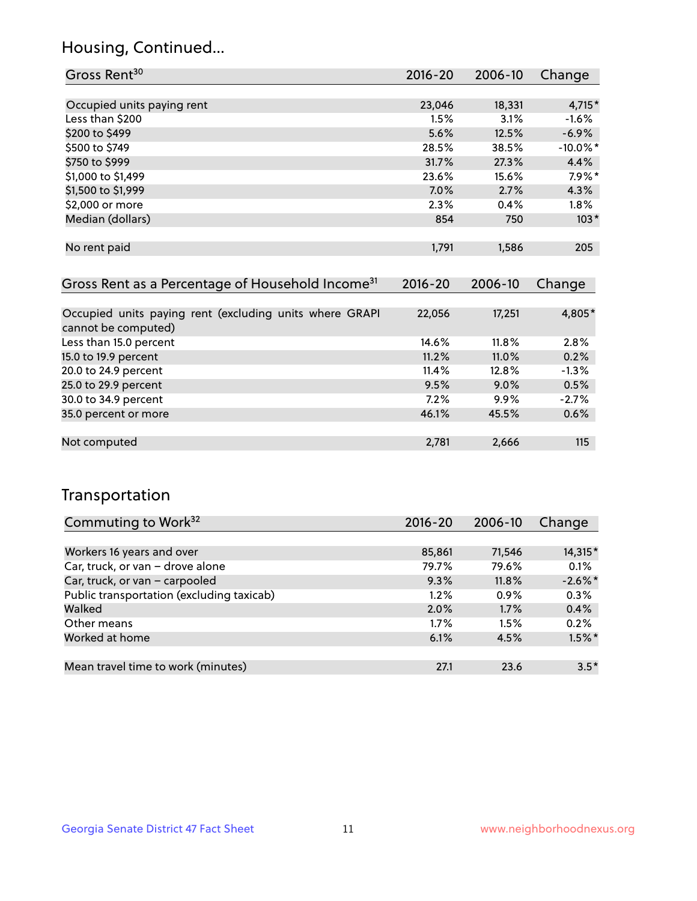## Housing, Continued...

| Gross Rent <sup>30</sup>                                                       | 2016-20     | 2006-10 | Change      |
|--------------------------------------------------------------------------------|-------------|---------|-------------|
|                                                                                |             |         |             |
| Occupied units paying rent                                                     | 23,046      | 18,331  | $4,715*$    |
| Less than \$200                                                                | 1.5%        | 3.1%    | $-1.6%$     |
| \$200 to \$499                                                                 | 5.6%        | 12.5%   | $-6.9%$     |
| \$500 to \$749                                                                 | 28.5%       | 38.5%   | $-10.0\%$ * |
| \$750 to \$999                                                                 | 31.7%       | 27.3%   | 4.4%        |
| \$1,000 to \$1,499                                                             | 23.6%       | 15.6%   | $7.9\%$ *   |
| \$1,500 to \$1,999                                                             | $7.0\%$     | 2.7%    | 4.3%        |
| \$2,000 or more                                                                | $2.3\%$     | 0.4%    | $1.8\%$     |
| Median (dollars)                                                               | 854         | 750     | $103*$      |
|                                                                                |             |         |             |
| No rent paid                                                                   | 1,791       | 1,586   | 205         |
|                                                                                |             |         |             |
| Gross Rent as a Percentage of Household Income <sup>31</sup>                   | $2016 - 20$ | 2006-10 | Change      |
|                                                                                |             |         |             |
|                                                                                |             |         | 4,805*      |
| Occupied units paying rent (excluding units where GRAPI<br>cannot be computed) | 22,056      | 17,251  |             |
| Less than 15.0 percent                                                         | 14.6%       | 11.8%   | 2.8%        |
| 15.0 to 19.9 percent                                                           | 11.2%       | 11.0%   | 0.2%        |

| 20.0 to 24.9 percent | 11.4% | $12.8\%$ | $-1.3\%$ |
|----------------------|-------|----------|----------|
| 25.0 to 29.9 percent | 9.5%  | $9.0\%$  | 0.5%     |
| 30.0 to 34.9 percent | 7.2%  | 9.9%     | $-2.7%$  |
| 35.0 percent or more | 46.1% | 45.5%    | 0.6%     |
|                      |       |          |          |
| Not computed         | 2.781 | 2.666    | 115      |
|                      |       |          |          |

## Transportation

| Commuting to Work <sup>32</sup>           | 2016-20 | 2006-10 | Change     |
|-------------------------------------------|---------|---------|------------|
|                                           |         |         |            |
| Workers 16 years and over                 | 85,861  | 71,546  | 14,315*    |
| Car, truck, or van - drove alone          | 79.7%   | 79.6%   | 0.1%       |
| Car, truck, or van - carpooled            | 9.3%    | 11.8%   | $-2.6\%$ * |
| Public transportation (excluding taxicab) | 1.2%    | $0.9\%$ | 0.3%       |
| Walked                                    | 2.0%    | 1.7%    | 0.4%       |
| Other means                               | $1.7\%$ | 1.5%    | 0.2%       |
| Worked at home                            | 6.1%    | 4.5%    | $1.5\%$ *  |
|                                           |         |         |            |
| Mean travel time to work (minutes)        | 27.1    | 23.6    | $3.5*$     |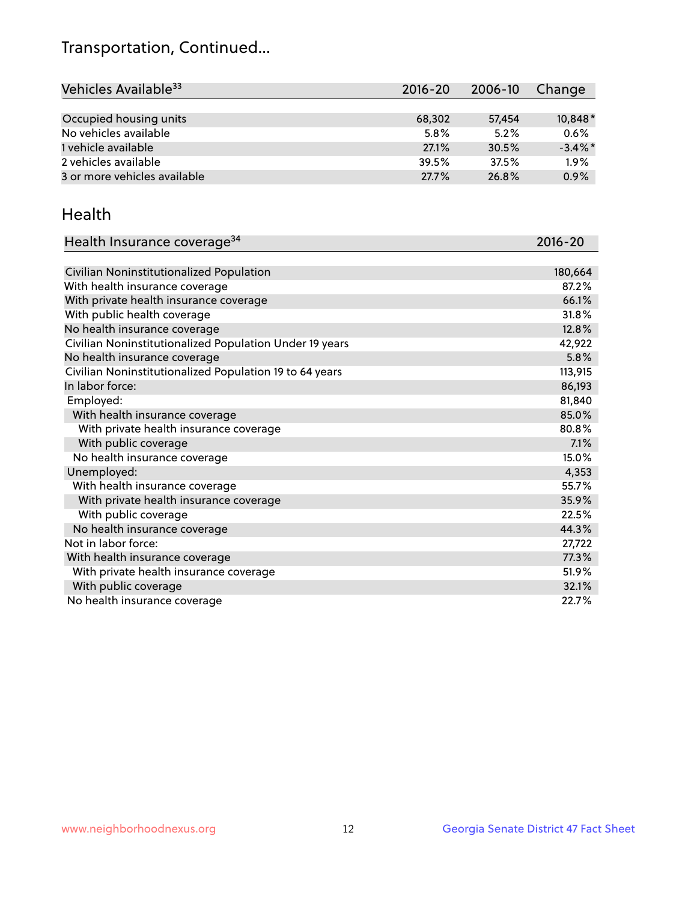## Transportation, Continued...

| Vehicles Available <sup>33</sup> | 2016-20 | 2006-10 | Change     |
|----------------------------------|---------|---------|------------|
|                                  |         |         |            |
| Occupied housing units           | 68,302  | 57,454  | 10,848*    |
| No vehicles available            | 5.8%    | 5.2%    | 0.6%       |
| 1 vehicle available              | 27.1%   | 30.5%   | $-3.4\%$ * |
| 2 vehicles available             | 39.5%   | 37.5%   | 1.9%       |
| 3 or more vehicles available     | 27.7%   | 26.8%   | 0.9%       |

#### Health

| Health Insurance coverage <sup>34</sup>                 | 2016-20 |
|---------------------------------------------------------|---------|
|                                                         |         |
| Civilian Noninstitutionalized Population                | 180,664 |
| With health insurance coverage                          | 87.2%   |
| With private health insurance coverage                  | 66.1%   |
| With public health coverage                             | 31.8%   |
| No health insurance coverage                            | 12.8%   |
| Civilian Noninstitutionalized Population Under 19 years | 42,922  |
| No health insurance coverage                            | 5.8%    |
| Civilian Noninstitutionalized Population 19 to 64 years | 113,915 |
| In labor force:                                         | 86,193  |
| Employed:                                               | 81,840  |
| With health insurance coverage                          | 85.0%   |
| With private health insurance coverage                  | 80.8%   |
| With public coverage                                    | 7.1%    |
| No health insurance coverage                            | 15.0%   |
| Unemployed:                                             | 4,353   |
| With health insurance coverage                          | 55.7%   |
| With private health insurance coverage                  | 35.9%   |
| With public coverage                                    | 22.5%   |
| No health insurance coverage                            | 44.3%   |
| Not in labor force:                                     | 27,722  |
| With health insurance coverage                          | 77.3%   |
| With private health insurance coverage                  | 51.9%   |
| With public coverage                                    | 32.1%   |
| No health insurance coverage                            | 22.7%   |